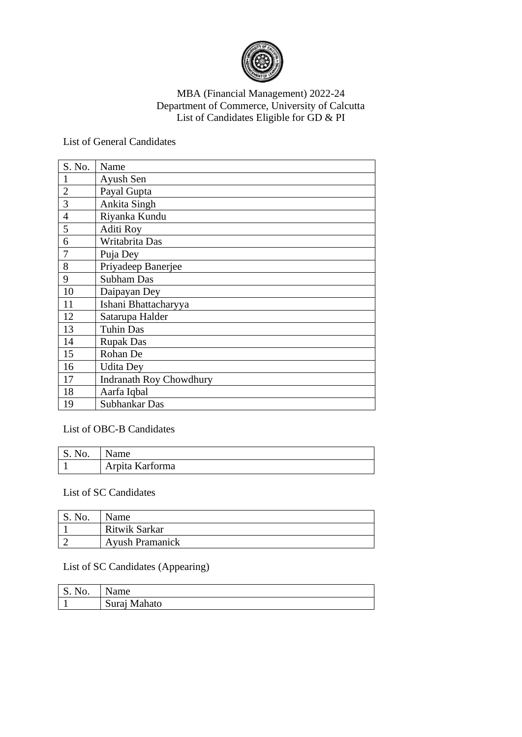

## MBA (Financial Management) 2022-24 Department of Commerce, University of Calcutta List of Candidates Eligible for GD & PI

List of General Candidates

| S. No.         | Name                           |
|----------------|--------------------------------|
| 1              | Ayush Sen                      |
| $\overline{2}$ | Payal Gupta                    |
| 3              | Ankita Singh                   |
| $\overline{4}$ | Riyanka Kundu                  |
| 5              | Aditi Roy                      |
| 6              | Writabrita Das                 |
| 7              | Puja Dey                       |
| 8              | Priyadeep Banerjee             |
| 9              | <b>Subham Das</b>              |
| 10             | Daipayan Dey                   |
| 11             | Ishani Bhattacharyya           |
| 12             | Satarupa Halder                |
| 13             | <b>Tuhin Das</b>               |
| 14             | <b>Rupak Das</b>               |
| 15             | Rohan De                       |
| 16             | <b>Udita Dey</b>               |
| 17             | <b>Indranath Roy Chowdhury</b> |
| 18             | Aarfa Iqbal                    |
| 19             | Subhankar Das                  |

## List of OBC-B Candidates

| S. No. | Name            |
|--------|-----------------|
|        | Arpita Karforma |

## List of SC Candidates

| S. No. | Name                   |
|--------|------------------------|
|        | Ritwik Sarkar          |
|        | <b>Ayush Pramanick</b> |

## List of SC Candidates (Appearing)

| S.<br>No. | ame          |
|-----------|--------------|
|           | Suraj Mahato |